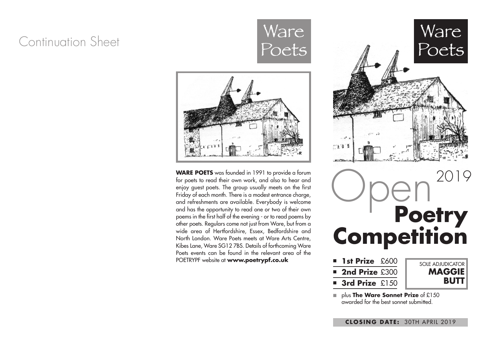### Continuation Sheet





**WARE POETS** was founded in 1991 to provide a forum for poets to read their own work, and also to hear and enjoy guest poets. The group usually meets on the first Friday of each month. There is a modest entrance charge, and refreshments are available. Everybody is welcome and has the opportunity to read one or two of their own poems in the first half of the evening - or to read poems by other poets. Regulars come not just from Ware, but from a wide area of Hertfordshire, Essex, Bedfordshire and North London. Ware Poets meets at Ware Arts Centre, Kibes Lane, Ware SG12 7BS. Details of forthcoming Ware Poets events can be found in the relevant area of the POETRYPF website at **www.poetrypf.co.uk**



| <b>1st Prize</b> £600 |  |
|-----------------------|--|
| <b>2nd Prize £300</b> |  |
| <b>3rd Prize</b> £150 |  |



**■** plus **The Ware Sonnet Prize** of £150 awarded for the best sonnet submitted.